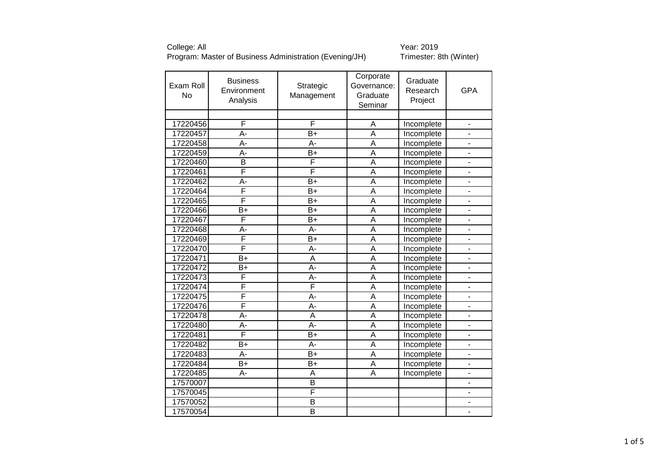| Corporate<br>Graduate<br><b>Business</b><br>Exam Roll<br>Strategic<br>Governance:<br>Research<br>Environment<br><b>No</b><br>Management<br>Graduate<br>Analysis<br>Project<br>Seminar | <b>GPA</b>     |
|---------------------------------------------------------------------------------------------------------------------------------------------------------------------------------------|----------------|
| F<br>F                                                                                                                                                                                |                |
| 17220456<br>Incomplete<br>Α                                                                                                                                                           | $\frac{1}{2}$  |
| $\overline{B+}$<br>17220457<br>A-<br>A<br>Incomplete                                                                                                                                  |                |
| 17220458<br>$\overline{\mathsf{A}}$<br>A-<br>A-<br>Incomplete                                                                                                                         |                |
| 17220459<br>$\overline{B+}$<br>A-<br>A<br>Incomplete                                                                                                                                  |                |
| F<br>17220460<br>B<br>A<br>Incomplete                                                                                                                                                 |                |
| F<br>F<br>17220461<br>$\overline{\mathsf{A}}$<br>Incomplete                                                                                                                           |                |
| 17220462<br>$B+$<br>A<br>A-<br>Incomplete                                                                                                                                             |                |
| F<br>17220464<br>$\overline{\mathsf{A}}$<br>$B+$<br>Incomplete                                                                                                                        |                |
| F<br>17220465<br>$\overline{\mathsf{A}}$<br>$\overline{B+}$<br>Incomplete                                                                                                             |                |
| 17220466<br>$\overline{B}$<br>$\bar{B}+$<br>$\overline{\mathsf{A}}$<br>Incomplete                                                                                                     |                |
| F<br>$\overline{\mathsf{A}}$<br>$\overline{B+}$<br>17220467<br>Incomplete                                                                                                             |                |
| $\overline{\mathsf{A}}$<br>$\overline{A}$<br>$\overline{A}$ -<br>17220468<br>Incomplete                                                                                               |                |
| F<br>$B+$<br>17220469<br>A<br>Incomplete                                                                                                                                              | ÷,             |
| F<br>$\overline{\mathsf{A}}$<br>17220470<br>A-<br>Incomplete                                                                                                                          | $\frac{1}{2}$  |
| 17220471<br>$\overline{B}$<br>$\overline{A}$<br>$\overline{\mathsf{A}}$<br>Incomplete                                                                                                 |                |
| 17220472<br>A-<br>A<br>$B+$<br>Incomplete                                                                                                                                             |                |
| F<br>$\overline{A}$ -<br>$\overline{\mathsf{A}}$<br>17220473<br>Incomplete                                                                                                            |                |
| F<br>F<br>17220474<br>$\overline{\mathsf{A}}$<br>Incomplete                                                                                                                           |                |
| F<br>17220475<br>A-<br>A<br>Incomplete                                                                                                                                                |                |
| F<br>$\overline{A}$ -<br>$\overline{\mathsf{A}}$<br>17220476<br>Incomplete                                                                                                            |                |
| 17220478<br>$\overline{A}$ -<br>$\overline{\mathsf{A}}$<br>$\overline{\mathsf{A}}$<br>Incomplete                                                                                      |                |
| $\overline{A}$ -<br>A<br>17220480<br>A-<br>Incomplete                                                                                                                                 |                |
| F<br>$\overline{B+}$<br>$\overline{\mathsf{A}}$<br>17220481<br>Incomplete                                                                                                             |                |
| $\overline{\mathsf{A}}$<br>$B+$<br>A-<br>17220482<br>Incomplete                                                                                                                       |                |
| $B+$<br>A<br>17220483<br>A-<br>Incomplete                                                                                                                                             |                |
| 17220484<br>$B+$<br>$B+$<br>A<br>Incomplete                                                                                                                                           | $\frac{1}{2}$  |
| 17220485<br>A<br>А-<br>A<br>Incomplete                                                                                                                                                | $\overline{a}$ |
| $\overline{B}$<br>17570007                                                                                                                                                            |                |
| F<br>17570045                                                                                                                                                                         |                |
| 17570052<br>$\overline{B}$                                                                                                                                                            |                |
| $\overline{B}$<br>17570054                                                                                                                                                            |                |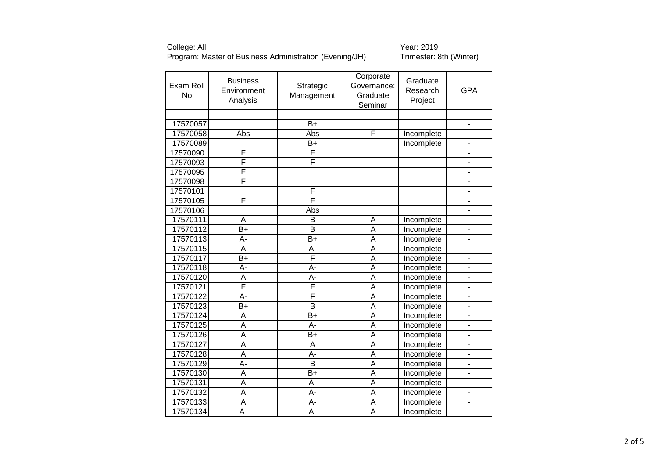| Exam Roll<br><b>No</b> | <b>Business</b><br>Environment<br>Analysis | Strategic<br>Management | Corporate<br>Governance:<br>Graduate<br>Seminar | Graduate<br>Research<br>Project | <b>GPA</b>               |
|------------------------|--------------------------------------------|-------------------------|-------------------------------------------------|---------------------------------|--------------------------|
|                        |                                            |                         |                                                 |                                 |                          |
| 17570057               |                                            | $\overline{B+}$         |                                                 |                                 |                          |
| 17570058               | Abs                                        | Abs                     | F                                               | Incomplete                      | $\frac{1}{2}$            |
| 17570089               |                                            | $\overline{B+}$         |                                                 | Incomplete                      |                          |
| 17570090               | F                                          | F                       |                                                 |                                 |                          |
| 17570093               | F                                          | F                       |                                                 |                                 |                          |
| 17570095               | F                                          |                         |                                                 |                                 |                          |
| 17570098               | F                                          |                         |                                                 |                                 | $\overline{\phantom{a}}$ |
| 17570101               |                                            | F                       |                                                 |                                 |                          |
| 17570105               | F                                          | F                       |                                                 |                                 |                          |
| 17570106               |                                            | Abs                     |                                                 |                                 |                          |
| 17570111               | A                                          | B                       | A                                               | Incomplete                      |                          |
| 17570112               | $\overline{B}$                             | $\overline{B}$          | $\overline{\mathsf{A}}$                         | Incomplete                      |                          |
| 17570113               | A-                                         | $B+$                    | A                                               | Incomplete                      | $\overline{\phantom{a}}$ |
| 17570115               | $\overline{A}$                             | $A -$                   | $\overline{\mathsf{A}}$                         | Incomplete                      | $\overline{a}$           |
| 17570117               | B+                                         | F                       | $\overline{\mathsf{A}}$                         | Incomplete                      |                          |
| 17570118               | A-                                         | A-                      | $\overline{\mathsf{A}}$                         | Incomplete                      |                          |
| 17570120               | A                                          | A-                      | $\overline{\mathsf{A}}$                         | Incomplete                      |                          |
| 17570121               | F                                          | F                       | $\overline{\mathsf{A}}$                         | Incomplete                      |                          |
| 17570122               | $\overline{A}$ -                           | F                       | $\overline{\mathsf{A}}$                         | Incomplete                      |                          |
| 17570123               | $B+$                                       | $\overline{B}$          | $\overline{\mathsf{A}}$                         | Incomplete                      |                          |
| 17570124               | $\overline{\mathsf{A}}$                    | $\overline{B+}$         | $\overline{\mathsf{A}}$                         | Incomplete                      |                          |
| 17570125               | A                                          | A-                      | A                                               | Incomplete                      |                          |
| 17570126               | A                                          | $B+$                    | $\overline{\mathsf{A}}$                         | Incomplete                      |                          |
| 17570127               | $\overline{\mathsf{A}}$                    | A                       | $\overline{\mathsf{A}}$                         | Incomplete                      |                          |
| 17570128               | A                                          | A-                      | A                                               | Incomplete                      | $\blacksquare$           |
| 17570129               | A-                                         | B                       | A                                               | Incomplete                      |                          |
| 17570130               | $\overline{\mathsf{A}}$                    | $\overline{B+}$         | $\overline{\mathsf{A}}$                         | Incomplete                      |                          |
| 17570131               | $\overline{\mathsf{A}}$                    | $A -$                   | $\overline{\mathsf{A}}$                         | Incomplete                      |                          |
| 17570132               | A                                          | $A -$                   | A                                               | Incomplete                      |                          |
| 17570133               | $\overline{\mathsf{A}}$                    | $A -$                   | A                                               | Incomplete                      |                          |
| 17570134               | $A -$                                      | $\overline{A}$          | $\overline{\mathsf{A}}$                         | Incomplete                      | ٠                        |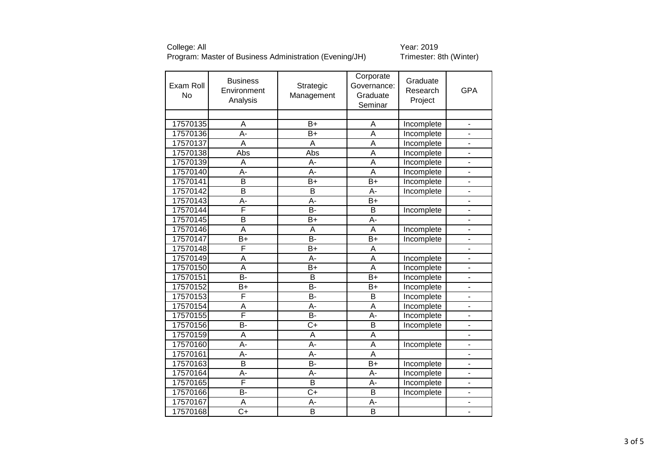| Exam Roll<br><b>No</b> | <b>Business</b><br>Environment<br>Analysis | Strategic<br>Management | Corporate<br>Governance:<br>Graduate<br>Seminar | Graduate<br>Research<br>Project | <b>GPA</b>               |
|------------------------|--------------------------------------------|-------------------------|-------------------------------------------------|---------------------------------|--------------------------|
| 17570135               | A                                          | $\overline{B+}$         | A                                               | Incomplete                      | ä,                       |
| 17570136               | A-                                         | $B+$                    | A                                               | Incomplete                      |                          |
| 17570137               | $\overline{\mathsf{A}}$                    | A                       | $\overline{\mathsf{A}}$                         | Incomplete                      |                          |
| 17570138               | Abs                                        | Abs                     | $\overline{\mathsf{A}}$                         | Incomplete                      |                          |
| 17570139               | A                                          | A-                      | $\overline{\mathsf{A}}$                         | Incomplete                      |                          |
| 17570140               | Ā-                                         | $\overline{A}$ -        | $\overline{\mathsf{A}}$                         | Incomplete                      |                          |
| 17570141               | $\overline{\mathsf{B}}$                    | $B+$                    | $B+$                                            | Incomplete                      |                          |
| 17570142               | B                                          | B                       | A-                                              | Incomplete                      | $\overline{a}$           |
| 17570143               | $\overline{A}$ -                           | $\overline{A}$ -        | $B+$                                            |                                 |                          |
| 17570144               | F                                          | $\overline{B}$          | $\overline{B}$                                  | Incomplete                      |                          |
| 17570145               | B                                          | $B+$                    | A-                                              |                                 |                          |
| 17570146               | $\overline{\mathsf{A}}$                    | A                       | $\overline{\mathsf{A}}$                         | Incomplete                      |                          |
| 17570147               | B+                                         | <b>B-</b>               | $B+$                                            | Incomplete                      |                          |
| 17570148               | F                                          | $B+$                    | A                                               |                                 | $\overline{\phantom{a}}$ |
| 17570149               | $\overline{A}$                             | $\overline{A}$ -        | $\overline{\mathsf{A}}$                         | Incomplete                      | $\blacksquare$           |
| 17570150               | A                                          | $B+$                    | A                                               | Incomplete                      |                          |
| 17570151               | $\overline{B}$                             | $\overline{B}$          | $\overline{B+}$                                 | Incomplete                      |                          |
| 17570152               | B+                                         | $\overline{B}$          | B+                                              | Incomplete                      |                          |
| 17570153               | F                                          | $\overline{B}$          | $\overline{B}$                                  | Incomplete                      |                          |
| 17570154               | A                                          | $A -$                   | $\overline{A}$                                  | Incomplete                      |                          |
| 17570155               | F                                          | $\overline{B}$          | $\overline{A}$ -                                | Incomplete                      |                          |
| 17570156               | <b>B-</b>                                  | $\overline{C+}$         | $\overline{B}$                                  | Incomplete                      |                          |
| 17570159               | A                                          | A                       | A                                               |                                 |                          |
| 17570160               | $A -$                                      | $A -$                   | $\overline{\mathsf{A}}$                         | Incomplete                      |                          |
| 17570161               | A-                                         | A-                      | A                                               |                                 |                          |
| 17570163               | $\overline{\mathsf{B}}$                    | $\overline{B}$          | $B+$                                            | Incomplete                      |                          |
| 17570164               | A-                                         | $A -$                   | A-                                              | Incomplete                      | ä,                       |
| 17570165               | F                                          | $\overline{B}$          | A-                                              | Incomplete                      | $\overline{a}$           |
| 17570166               | <b>B-</b>                                  | $\overline{C+}$         | $\overline{B}$                                  | Incomplete                      |                          |
| 17570167               | Α                                          | A-                      | A-                                              |                                 |                          |
| 17570168               | $\overline{C+}$                            | $\overline{\mathsf{B}}$ | $\overline{B}$                                  |                                 |                          |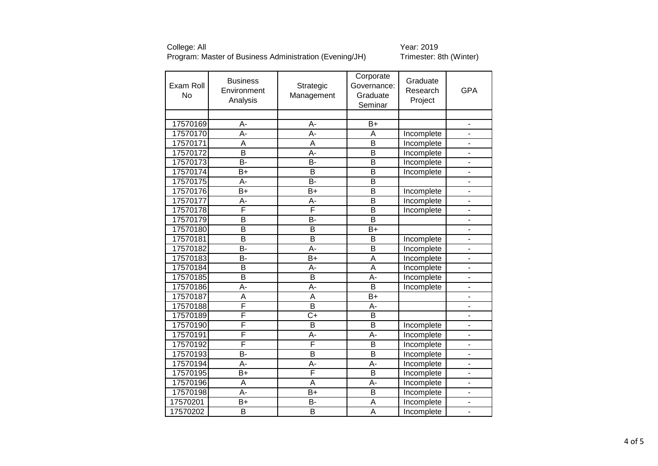| 17570169<br>$\overline{B}$<br>А-<br>А-<br>$\overline{a}$<br>17570170<br>A-<br>A-<br>A<br>Incomplete<br>$\overline{a}$<br>17570171<br>$\overline{\mathsf{B}}$<br>A<br>A<br>Incomplete<br>$\overline{\mathsf{B}}$<br>$\overline{\mathsf{B}}$<br>17570172<br>$\overline{A}$ -<br>Incomplete<br>17570173<br>B-<br>$\overline{B}$<br>$\overline{\mathsf{B}}$<br>Incomplete<br>17570174<br>B<br>$\overline{\mathsf{B}}$<br>$B+$<br>Incomplete<br>17570175<br><b>B-</b><br>B<br>A-<br>17570176<br>$\overline{B+}$<br>$\overline{\mathsf{B}}$<br>Incomplete<br>$B+$<br>17570177<br>$\overline{\mathsf{B}}$<br>$\overline{A}$<br>A-<br>Incomplete<br>F<br>F<br>17570178<br>$\overline{\mathsf{B}}$<br>Incomplete<br>$\overline{B}$<br>$\overline{B}$<br>$\overline{B}$<br>17570179<br>-<br>$\overline{\mathsf{B}}$<br>$\overline{B+}$<br>17570180<br>$\overline{\mathsf{B}}$<br>B<br>17570181<br>B<br>B<br>Incomplete<br>$\overline{a}$<br>17570182<br>$\overline{B}$<br>$\overline{A}$ -<br>$\overline{\mathsf{B}}$<br>Incomplete<br>$\overline{a}$<br>17570183<br>B-<br>$\overline{B}$ +<br>$\overline{\mathsf{A}}$<br>Incomplete<br>ä,<br>17570184<br>B<br>A<br>A-<br>Incomplete<br>17570185<br>$\overline{B}$<br>$\overline{A}$ -<br>B<br>Incomplete<br>17570186<br>$\overline{\mathsf{B}}$<br>$\overline{A}$ -<br>A-<br>Incomplete<br>17570187<br>$\overline{\mathsf{A}}$<br>$\overline{B+}$<br>A<br>F<br>$\overline{\mathsf{B}}$<br>17570188<br>A-<br>F<br>$\overline{C+}$<br>17570189<br>$\overline{B}$<br>F<br>$\overline{\mathsf{B}}$<br>17570190<br>B<br>Incomplete<br>F<br>A-<br>A-<br>17570191<br>Incomplete<br>$\overline{a}$<br>F<br>F<br>17570192<br>$\overline{B}$<br>Incomplete<br>$\overline{B}$<br>$\overline{\mathsf{B}}$<br>17570193<br><b>B-</b><br>Incomplete<br>ä,<br>17570194<br>A-<br>A-<br>A-<br>Incomplete<br>L.<br>F<br>$\overline{\mathsf{B}}$<br>17570195<br>$B+$<br>Incomplete<br>ä,<br>17570196<br>A<br>A<br>A-<br>Incomplete<br>17570198<br>$\overline{A}$<br>$\overline{B}$<br>$B+$<br>Incomplete<br>$\overline{B}$<br>17570201<br>$B+$<br>A<br>Incomplete<br>$\overline{\mathsf{A}}$<br>B<br>B<br>17570202<br>Incomplete | Exam Roll<br><b>No</b> | <b>Business</b><br>Environment<br>Analysis | Strategic<br>Management | Corporate<br>Governance:<br>Graduate<br>Seminar | Graduate<br>Research<br>Project | <b>GPA</b> |
|-----------------------------------------------------------------------------------------------------------------------------------------------------------------------------------------------------------------------------------------------------------------------------------------------------------------------------------------------------------------------------------------------------------------------------------------------------------------------------------------------------------------------------------------------------------------------------------------------------------------------------------------------------------------------------------------------------------------------------------------------------------------------------------------------------------------------------------------------------------------------------------------------------------------------------------------------------------------------------------------------------------------------------------------------------------------------------------------------------------------------------------------------------------------------------------------------------------------------------------------------------------------------------------------------------------------------------------------------------------------------------------------------------------------------------------------------------------------------------------------------------------------------------------------------------------------------------------------------------------------------------------------------------------------------------------------------------------------------------------------------------------------------------------------------------------------------------------------------------------------------------------------------------------------------------------------------------------------------------------------------------------------------------------------------------------------------------------------------------------------------------------------------------|------------------------|--------------------------------------------|-------------------------|-------------------------------------------------|---------------------------------|------------|
|                                                                                                                                                                                                                                                                                                                                                                                                                                                                                                                                                                                                                                                                                                                                                                                                                                                                                                                                                                                                                                                                                                                                                                                                                                                                                                                                                                                                                                                                                                                                                                                                                                                                                                                                                                                                                                                                                                                                                                                                                                                                                                                                                     |                        |                                            |                         |                                                 |                                 |            |
|                                                                                                                                                                                                                                                                                                                                                                                                                                                                                                                                                                                                                                                                                                                                                                                                                                                                                                                                                                                                                                                                                                                                                                                                                                                                                                                                                                                                                                                                                                                                                                                                                                                                                                                                                                                                                                                                                                                                                                                                                                                                                                                                                     |                        |                                            |                         |                                                 |                                 |            |
|                                                                                                                                                                                                                                                                                                                                                                                                                                                                                                                                                                                                                                                                                                                                                                                                                                                                                                                                                                                                                                                                                                                                                                                                                                                                                                                                                                                                                                                                                                                                                                                                                                                                                                                                                                                                                                                                                                                                                                                                                                                                                                                                                     |                        |                                            |                         |                                                 |                                 |            |
|                                                                                                                                                                                                                                                                                                                                                                                                                                                                                                                                                                                                                                                                                                                                                                                                                                                                                                                                                                                                                                                                                                                                                                                                                                                                                                                                                                                                                                                                                                                                                                                                                                                                                                                                                                                                                                                                                                                                                                                                                                                                                                                                                     |                        |                                            |                         |                                                 |                                 |            |
|                                                                                                                                                                                                                                                                                                                                                                                                                                                                                                                                                                                                                                                                                                                                                                                                                                                                                                                                                                                                                                                                                                                                                                                                                                                                                                                                                                                                                                                                                                                                                                                                                                                                                                                                                                                                                                                                                                                                                                                                                                                                                                                                                     |                        |                                            |                         |                                                 |                                 |            |
|                                                                                                                                                                                                                                                                                                                                                                                                                                                                                                                                                                                                                                                                                                                                                                                                                                                                                                                                                                                                                                                                                                                                                                                                                                                                                                                                                                                                                                                                                                                                                                                                                                                                                                                                                                                                                                                                                                                                                                                                                                                                                                                                                     |                        |                                            |                         |                                                 |                                 |            |
|                                                                                                                                                                                                                                                                                                                                                                                                                                                                                                                                                                                                                                                                                                                                                                                                                                                                                                                                                                                                                                                                                                                                                                                                                                                                                                                                                                                                                                                                                                                                                                                                                                                                                                                                                                                                                                                                                                                                                                                                                                                                                                                                                     |                        |                                            |                         |                                                 |                                 |            |
|                                                                                                                                                                                                                                                                                                                                                                                                                                                                                                                                                                                                                                                                                                                                                                                                                                                                                                                                                                                                                                                                                                                                                                                                                                                                                                                                                                                                                                                                                                                                                                                                                                                                                                                                                                                                                                                                                                                                                                                                                                                                                                                                                     |                        |                                            |                         |                                                 |                                 |            |
|                                                                                                                                                                                                                                                                                                                                                                                                                                                                                                                                                                                                                                                                                                                                                                                                                                                                                                                                                                                                                                                                                                                                                                                                                                                                                                                                                                                                                                                                                                                                                                                                                                                                                                                                                                                                                                                                                                                                                                                                                                                                                                                                                     |                        |                                            |                         |                                                 |                                 |            |
|                                                                                                                                                                                                                                                                                                                                                                                                                                                                                                                                                                                                                                                                                                                                                                                                                                                                                                                                                                                                                                                                                                                                                                                                                                                                                                                                                                                                                                                                                                                                                                                                                                                                                                                                                                                                                                                                                                                                                                                                                                                                                                                                                     |                        |                                            |                         |                                                 |                                 |            |
|                                                                                                                                                                                                                                                                                                                                                                                                                                                                                                                                                                                                                                                                                                                                                                                                                                                                                                                                                                                                                                                                                                                                                                                                                                                                                                                                                                                                                                                                                                                                                                                                                                                                                                                                                                                                                                                                                                                                                                                                                                                                                                                                                     |                        |                                            |                         |                                                 |                                 |            |
|                                                                                                                                                                                                                                                                                                                                                                                                                                                                                                                                                                                                                                                                                                                                                                                                                                                                                                                                                                                                                                                                                                                                                                                                                                                                                                                                                                                                                                                                                                                                                                                                                                                                                                                                                                                                                                                                                                                                                                                                                                                                                                                                                     |                        |                                            |                         |                                                 |                                 |            |
|                                                                                                                                                                                                                                                                                                                                                                                                                                                                                                                                                                                                                                                                                                                                                                                                                                                                                                                                                                                                                                                                                                                                                                                                                                                                                                                                                                                                                                                                                                                                                                                                                                                                                                                                                                                                                                                                                                                                                                                                                                                                                                                                                     |                        |                                            |                         |                                                 |                                 |            |
|                                                                                                                                                                                                                                                                                                                                                                                                                                                                                                                                                                                                                                                                                                                                                                                                                                                                                                                                                                                                                                                                                                                                                                                                                                                                                                                                                                                                                                                                                                                                                                                                                                                                                                                                                                                                                                                                                                                                                                                                                                                                                                                                                     |                        |                                            |                         |                                                 |                                 |            |
|                                                                                                                                                                                                                                                                                                                                                                                                                                                                                                                                                                                                                                                                                                                                                                                                                                                                                                                                                                                                                                                                                                                                                                                                                                                                                                                                                                                                                                                                                                                                                                                                                                                                                                                                                                                                                                                                                                                                                                                                                                                                                                                                                     |                        |                                            |                         |                                                 |                                 |            |
|                                                                                                                                                                                                                                                                                                                                                                                                                                                                                                                                                                                                                                                                                                                                                                                                                                                                                                                                                                                                                                                                                                                                                                                                                                                                                                                                                                                                                                                                                                                                                                                                                                                                                                                                                                                                                                                                                                                                                                                                                                                                                                                                                     |                        |                                            |                         |                                                 |                                 |            |
|                                                                                                                                                                                                                                                                                                                                                                                                                                                                                                                                                                                                                                                                                                                                                                                                                                                                                                                                                                                                                                                                                                                                                                                                                                                                                                                                                                                                                                                                                                                                                                                                                                                                                                                                                                                                                                                                                                                                                                                                                                                                                                                                                     |                        |                                            |                         |                                                 |                                 |            |
|                                                                                                                                                                                                                                                                                                                                                                                                                                                                                                                                                                                                                                                                                                                                                                                                                                                                                                                                                                                                                                                                                                                                                                                                                                                                                                                                                                                                                                                                                                                                                                                                                                                                                                                                                                                                                                                                                                                                                                                                                                                                                                                                                     |                        |                                            |                         |                                                 |                                 |            |
|                                                                                                                                                                                                                                                                                                                                                                                                                                                                                                                                                                                                                                                                                                                                                                                                                                                                                                                                                                                                                                                                                                                                                                                                                                                                                                                                                                                                                                                                                                                                                                                                                                                                                                                                                                                                                                                                                                                                                                                                                                                                                                                                                     |                        |                                            |                         |                                                 |                                 |            |
|                                                                                                                                                                                                                                                                                                                                                                                                                                                                                                                                                                                                                                                                                                                                                                                                                                                                                                                                                                                                                                                                                                                                                                                                                                                                                                                                                                                                                                                                                                                                                                                                                                                                                                                                                                                                                                                                                                                                                                                                                                                                                                                                                     |                        |                                            |                         |                                                 |                                 |            |
|                                                                                                                                                                                                                                                                                                                                                                                                                                                                                                                                                                                                                                                                                                                                                                                                                                                                                                                                                                                                                                                                                                                                                                                                                                                                                                                                                                                                                                                                                                                                                                                                                                                                                                                                                                                                                                                                                                                                                                                                                                                                                                                                                     |                        |                                            |                         |                                                 |                                 |            |
|                                                                                                                                                                                                                                                                                                                                                                                                                                                                                                                                                                                                                                                                                                                                                                                                                                                                                                                                                                                                                                                                                                                                                                                                                                                                                                                                                                                                                                                                                                                                                                                                                                                                                                                                                                                                                                                                                                                                                                                                                                                                                                                                                     |                        |                                            |                         |                                                 |                                 |            |
|                                                                                                                                                                                                                                                                                                                                                                                                                                                                                                                                                                                                                                                                                                                                                                                                                                                                                                                                                                                                                                                                                                                                                                                                                                                                                                                                                                                                                                                                                                                                                                                                                                                                                                                                                                                                                                                                                                                                                                                                                                                                                                                                                     |                        |                                            |                         |                                                 |                                 |            |
|                                                                                                                                                                                                                                                                                                                                                                                                                                                                                                                                                                                                                                                                                                                                                                                                                                                                                                                                                                                                                                                                                                                                                                                                                                                                                                                                                                                                                                                                                                                                                                                                                                                                                                                                                                                                                                                                                                                                                                                                                                                                                                                                                     |                        |                                            |                         |                                                 |                                 |            |
|                                                                                                                                                                                                                                                                                                                                                                                                                                                                                                                                                                                                                                                                                                                                                                                                                                                                                                                                                                                                                                                                                                                                                                                                                                                                                                                                                                                                                                                                                                                                                                                                                                                                                                                                                                                                                                                                                                                                                                                                                                                                                                                                                     |                        |                                            |                         |                                                 |                                 |            |
|                                                                                                                                                                                                                                                                                                                                                                                                                                                                                                                                                                                                                                                                                                                                                                                                                                                                                                                                                                                                                                                                                                                                                                                                                                                                                                                                                                                                                                                                                                                                                                                                                                                                                                                                                                                                                                                                                                                                                                                                                                                                                                                                                     |                        |                                            |                         |                                                 |                                 |            |
|                                                                                                                                                                                                                                                                                                                                                                                                                                                                                                                                                                                                                                                                                                                                                                                                                                                                                                                                                                                                                                                                                                                                                                                                                                                                                                                                                                                                                                                                                                                                                                                                                                                                                                                                                                                                                                                                                                                                                                                                                                                                                                                                                     |                        |                                            |                         |                                                 |                                 |            |
|                                                                                                                                                                                                                                                                                                                                                                                                                                                                                                                                                                                                                                                                                                                                                                                                                                                                                                                                                                                                                                                                                                                                                                                                                                                                                                                                                                                                                                                                                                                                                                                                                                                                                                                                                                                                                                                                                                                                                                                                                                                                                                                                                     |                        |                                            |                         |                                                 |                                 |            |
|                                                                                                                                                                                                                                                                                                                                                                                                                                                                                                                                                                                                                                                                                                                                                                                                                                                                                                                                                                                                                                                                                                                                                                                                                                                                                                                                                                                                                                                                                                                                                                                                                                                                                                                                                                                                                                                                                                                                                                                                                                                                                                                                                     |                        |                                            |                         |                                                 |                                 |            |
|                                                                                                                                                                                                                                                                                                                                                                                                                                                                                                                                                                                                                                                                                                                                                                                                                                                                                                                                                                                                                                                                                                                                                                                                                                                                                                                                                                                                                                                                                                                                                                                                                                                                                                                                                                                                                                                                                                                                                                                                                                                                                                                                                     |                        |                                            |                         |                                                 |                                 |            |
|                                                                                                                                                                                                                                                                                                                                                                                                                                                                                                                                                                                                                                                                                                                                                                                                                                                                                                                                                                                                                                                                                                                                                                                                                                                                                                                                                                                                                                                                                                                                                                                                                                                                                                                                                                                                                                                                                                                                                                                                                                                                                                                                                     |                        |                                            |                         |                                                 |                                 |            |
|                                                                                                                                                                                                                                                                                                                                                                                                                                                                                                                                                                                                                                                                                                                                                                                                                                                                                                                                                                                                                                                                                                                                                                                                                                                                                                                                                                                                                                                                                                                                                                                                                                                                                                                                                                                                                                                                                                                                                                                                                                                                                                                                                     |                        |                                            |                         |                                                 |                                 |            |